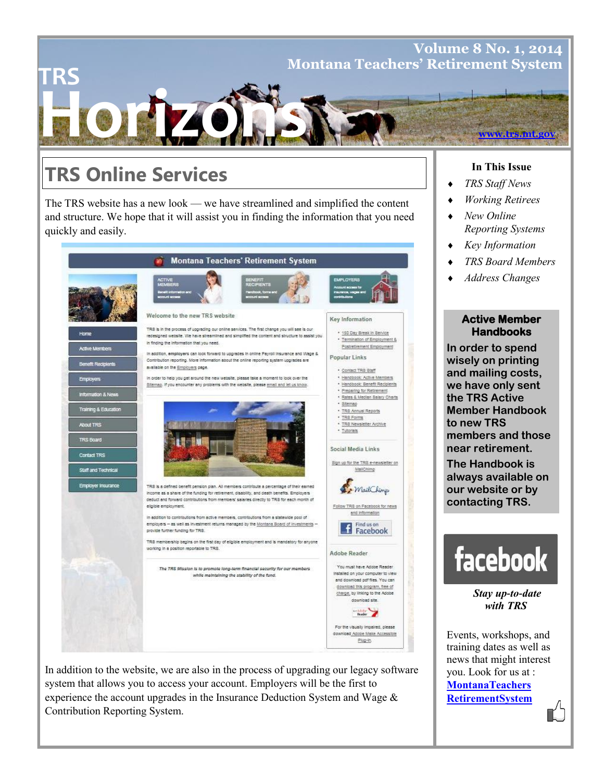# **Horizons TRS Volume 8 No. 1, 2014 Montana Teachers' Retirement System www.trs.mt.gov**

# **TRS Online Services**

The TRS website has a new look — we have streamlined and simplified the content and structure. We hope that it will assist you in finding the information that you need quickly and easily.



In addition to the website, we are also in the process of upgrading our legacy software system that allows you to access your account. Employers will be the first to experience the account upgrades in the Insurance Deduction System and Wage & Contribution Reporting System.

## **In This Issue**

- *TRS Staff News*
- *Working Retirees*
- *New Online Reporting Systems*
- *Key Information*
- *TRS Board Members*
- *Address Changes*

### **Active Member Handbooks**

**In order to spend wisely on printing and mailing costs, we have only sent the TRS Active Member Handbook to new TRS members and those near retirement.**

**The Handbook is always available on our website or by contacting TRS.**



*Stay up-to-date with TRS* 

Events, workshops, and training dates as well as news that might interest you. Look for us at : **MontanaTeachers RetirementSystem**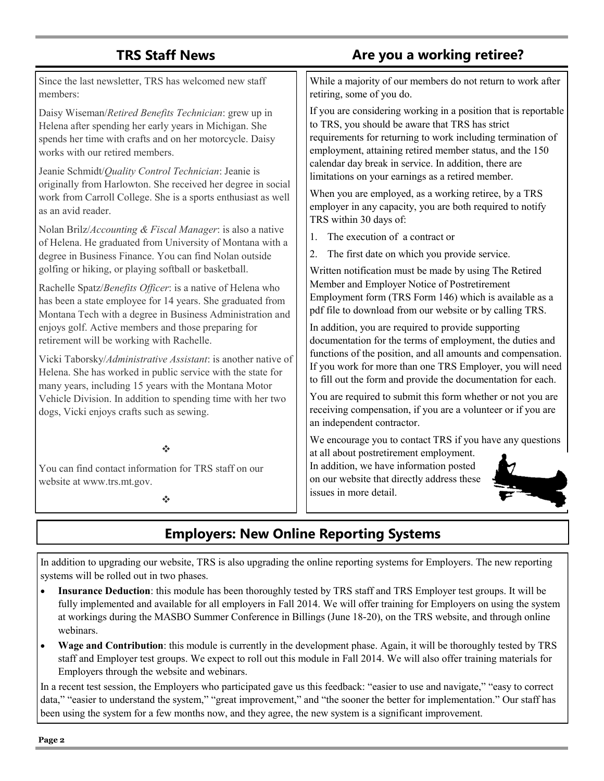## **TRS Staff News**

## **Are you a working retiree?**

Since the last newsletter, TRS has welcomed new staff members:

Daisy Wiseman/*Retired Benefits Technician*: grew up in Helena after spending her early years in Michigan. She spends her time with crafts and on her motorcycle. Daisy works with our retired members.

Jeanie Schmidt/*Quality Control Technician*: Jeanie is originally from Harlowton. She received her degree in social work from Carroll College. She is a sports enthusiast as well as an avid reader.

Nolan Brilz/*Accounting & Fiscal Manager*: is also a native of Helena. He graduated from University of Montana with a degree in Business Finance. You can find Nolan outside golfing or hiking, or playing softball or basketball.

Rachelle Spatz/*Benefits Officer*: is a native of Helena who has been a state employee for 14 years. She graduated from Montana Tech with a degree in Business Administration and enjoys golf. Active members and those preparing for retirement will be working with Rachelle.

Vicki Taborsky/*Administrative Assistant*: is another native of Helena. She has worked in public service with the state for many years, including 15 years with the Montana Motor Vehicle Division. In addition to spending time with her two dogs, Vicki enjoys crafts such as sewing.

dje

You can find contact information for TRS staff on our website at www.trs.mt.gov.

÷

While a majority of our members do not return to work after retiring, some of you do.

If you are considering working in a position that is reportable to TRS, you should be aware that TRS has strict requirements for returning to work including termination of employment, attaining retired member status, and the 150 calendar day break in service. In addition, there are limitations on your earnings as a retired member.

When you are employed, as a working retiree, by a TRS employer in any capacity, you are both required to notify TRS within 30 days of:

- 1. The execution of a contract or
- 2. The first date on which you provide service.

Written notification must be made by using The Retired Member and Employer Notice of Postretirement Employment form (TRS Form 146) which is available as a pdf file to download from our website or by calling TRS.

In addition, you are required to provide supporting documentation for the terms of employment, the duties and functions of the position, and all amounts and compensation. If you work for more than one TRS Employer, you will need to fill out the form and provide the documentation for each.

You are required to submit this form whether or not you are receiving compensation, if you are a volunteer or if you are an independent contractor.

We encourage you to contact TRS if you have any questions at all about postretirement employment.

In addition, we have information posted on our website that directly address these issues in more detail.



## **Employers: New Online Reporting Systems**

In addition to upgrading our website, TRS is also upgrading the online reporting systems for Employers. The new reporting systems will be rolled out in two phases.

- **Insurance Deduction**: this module has been thoroughly tested by TRS staff and TRS Employer test groups. It will be fully implemented and available for all employers in Fall 2014. We will offer training for Employers on using the system at workings during the MASBO Summer Conference in Billings (June 18-20), on the TRS website, and through online webinars.
- **Wage and Contribution**: this module is currently in the development phase. Again, it will be thoroughly tested by TRS staff and Employer test groups. We expect to roll out this module in Fall 2014. We will also offer training materials for Employers through the website and webinars.

In a recent test session, the Employers who participated gave us this feedback: "easier to use and navigate," "easy to correct data," "easier to understand the system," "great improvement," and "the sooner the better for implementation." Our staff has been using the system for a few months now, and they agree, the new system is a significant improvement.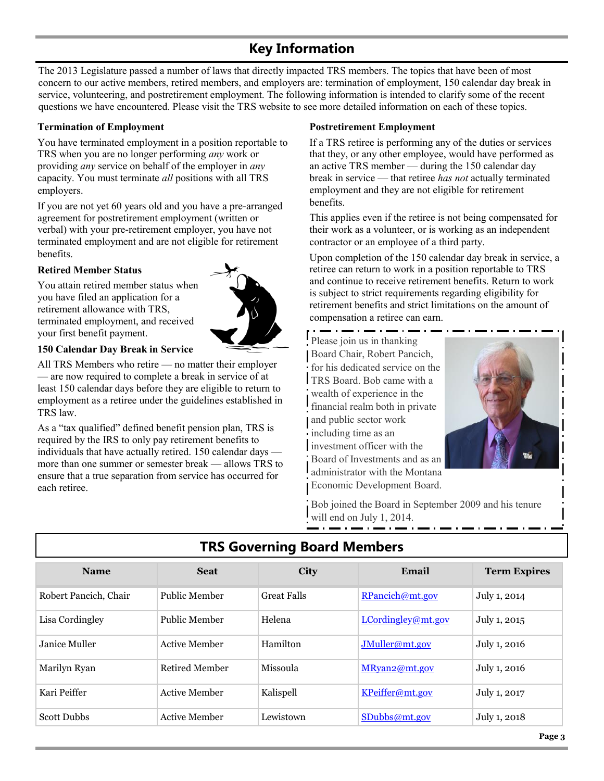## **Key Information**

The 2013 Legislature passed a number of laws that directly impacted TRS members. The topics that have been of most concern to our active members, retired members, and employers are: termination of employment, 150 calendar day break in service, volunteering, and postretirement employment. The following information is intended to clarify some of the recent questions we have encountered. Please visit the TRS website to see more detailed information on each of these topics.

#### **Termination of Employment**

You have terminated employment in a position reportable to TRS when you are no longer performing *any* work or providing *any* service on behalf of the employer in *any*  capacity. You must terminate *all* positions with all TRS employers.

If you are not yet 60 years old and you have a pre-arranged agreement for postretirement employment (written or verbal) with your pre-retirement employer, you have not terminated employment and are not eligible for retirement benefits.

#### **Retired Member Status**

You attain retired member status when you have filed an application for a retirement allowance with TRS, terminated employment, and received your first benefit payment.



#### **150 Calendar Day Break in Service**

All TRS Members who retire — no matter their employer — are now required to complete a break in service of at least 150 calendar days before they are eligible to return to employment as a retiree under the guidelines established in TRS law.

As a "tax qualified" defined benefit pension plan, TRS is required by the IRS to only pay retirement benefits to individuals that have actually retired. 150 calendar days more than one summer or semester break — allows TRS to ensure that a true separation from service has occurred for each retiree.

### **Postretirement Employment**

If a TRS retiree is performing any of the duties or services that they, or any other employee, would have performed as an active TRS member — during the 150 calendar day break in service — that retiree *has not* actually terminated employment and they are not eligible for retirement benefits.

This applies even if the retiree is not being compensated for their work as a volunteer, or is working as an independent contractor or an employee of a third party.

Upon completion of the 150 calendar day break in service, a retiree can return to work in a position reportable to TRS and continue to receive retirement benefits. Return to work is subject to strict requirements regarding eligibility for retirement benefits and strict limitations on the amount of compensation a retiree can earn.

Please join us in thanking Board Chair, Robert Pancich, for his dedicated service on the TRS Board. Bob came with a wealth of experience in the financial realm both in private and public sector work including time as an investment officer with the Board of Investments and as an administrator with the Montana Economic Development Board.



Bob joined the Board in September 2009 and his tenure will end on July 1, 2014.

| <b>Name</b>           | <b>Seat</b>    | <b>City</b>        | Email              | <b>Term Expires</b> |
|-----------------------|----------------|--------------------|--------------------|---------------------|
| Robert Pancich, Chair | Public Member  | <b>Great Falls</b> | RPancich@mt.gov    | July 1, 2014        |
| Lisa Cordingley       | Public Member  | Helena             | LCordingley@mt.gov | July 1, 2015        |
| Janice Muller         | Active Member  | Hamilton           | JMuller@mt.gov     | July 1, 2016        |
| Marilyn Ryan          | Retired Member | Missoula           | MRyan2@mt.gov      | July 1, 2016        |
| Kari Peiffer          | Active Member  | Kalispell          | KPeiffer@mt.gov    | July 1, 2017        |
| <b>Scott Dubbs</b>    | Active Member  | Lewistown          | $S$ Dubbs@mt.gov   | July 1, 2018        |

## **TRS Governing Board Members**